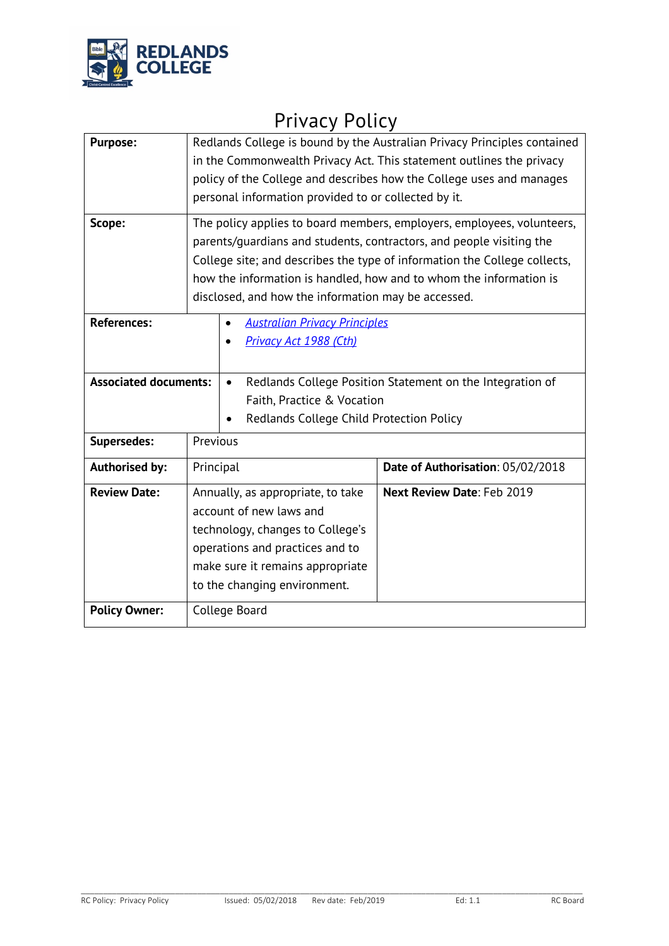

# Privacy Policy

| <b>Purpose:</b><br>Scope:    | Redlands College is bound by the Australian Privacy Principles contained<br>in the Commonwealth Privacy Act. This statement outlines the privacy<br>policy of the College and describes how the College uses and manages<br>personal information provided to or collected by it.<br>The policy applies to board members, employers, employees, volunteers,<br>parents/quardians and students, contractors, and people visiting the<br>College site; and describes the type of information the College collects,<br>how the information is handled, how and to whom the information is<br>disclosed, and how the information may be accessed. |                                                           |
|------------------------------|----------------------------------------------------------------------------------------------------------------------------------------------------------------------------------------------------------------------------------------------------------------------------------------------------------------------------------------------------------------------------------------------------------------------------------------------------------------------------------------------------------------------------------------------------------------------------------------------------------------------------------------------|-----------------------------------------------------------|
| <b>References:</b>           | <b>Australian Privacy Principles</b><br>Privacy Act 1988 (Cth)                                                                                                                                                                                                                                                                                                                                                                                                                                                                                                                                                                               |                                                           |
| <b>Associated documents:</b> | $\bullet$<br>Faith, Practice & Vocation<br>Redlands College Child Protection Policy                                                                                                                                                                                                                                                                                                                                                                                                                                                                                                                                                          | Redlands College Position Statement on the Integration of |
| <b>Supersedes:</b>           | Previous                                                                                                                                                                                                                                                                                                                                                                                                                                                                                                                                                                                                                                     |                                                           |
| <b>Authorised by:</b>        | Principal                                                                                                                                                                                                                                                                                                                                                                                                                                                                                                                                                                                                                                    | Date of Authorisation: 05/02/2018                         |
| <b>Review Date:</b>          | Annually, as appropriate, to take<br>account of new laws and<br>technology, changes to College's<br>operations and practices and to<br>make sure it remains appropriate<br>to the changing environment.                                                                                                                                                                                                                                                                                                                                                                                                                                      | Next Review Date: Feb 2019                                |
| <b>Policy Owner:</b>         | College Board                                                                                                                                                                                                                                                                                                                                                                                                                                                                                                                                                                                                                                |                                                           |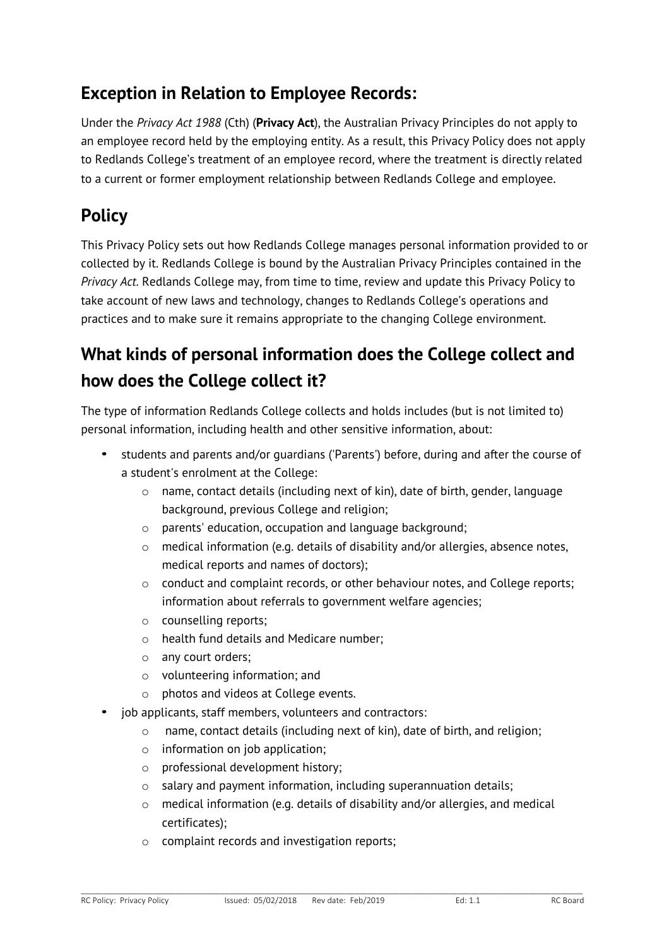### **Exception in Relation to Employee Records:**

Under the *Privacy Act 1988* (Cth) (**Privacy Act**), the Australian Privacy Principles do not apply to an employee record held by the employing entity. As a result, this Privacy Policy does not apply to Redlands College's treatment of an employee record, where the treatment is directly related to a current or former employment relationship between Redlands College and employee.

# **Policy**

This Privacy Policy sets out how Redlands College manages personal information provided to or collected by it. Redlands College is bound by the Australian Privacy Principles contained in the *Privacy Act.* Redlands College may, from time to time, review and update this Privacy Policy to take account of new laws and technology, changes to Redlands College's operations and practices and to make sure it remains appropriate to the changing College environment.

# **What kinds of personal information does the College collect and how does the College collect it?**

The type of information Redlands College collects and holds includes (but is not limited to) personal information, including health and other sensitive information, about:

- students and parents and/or guardians ('Parents') before, during and after the course of a student's enrolment at the College:
	- $\circ$  name, contact details (including next of kin), date of birth, gender, language background, previous College and religion;
	- o parents' education, occupation and language background;
	- o medical information (e.g. details of disability and/or allergies, absence notes, medical reports and names of doctors);
	- o conduct and complaint records, or other behaviour notes, and College reports; information about referrals to government welfare agencies;
	- o counselling reports;
	- o health fund details and Medicare number;
	- o any court orders;
	- o volunteering information; and
	- o photos and videos at College events.
- job applicants, staff members, volunteers and contractors:
	- o name, contact details (including next of kin), date of birth, and religion;
	- o information on job application;
	- o professional development history;
	- o salary and payment information, including superannuation details;
	- o medical information (e.g. details of disability and/or allergies, and medical certificates);
	- o complaint records and investigation reports;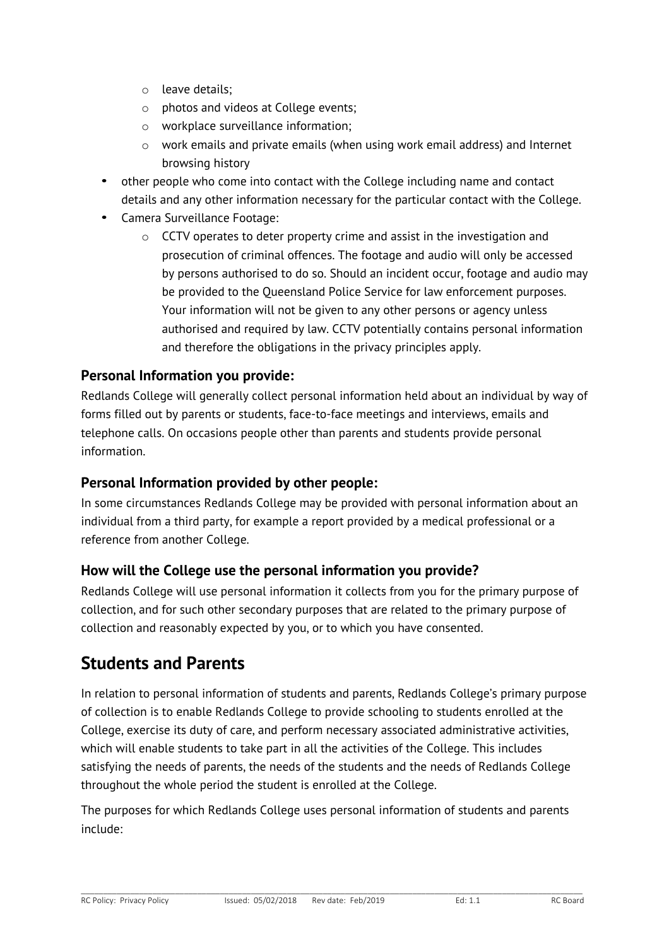- o leave details;
- o photos and videos at College events;
- o workplace surveillance information;
- $\circ$  work emails and private emails (when using work email address) and Internet browsing history
- other people who come into contact with the College including name and contact details and any other information necessary for the particular contact with the College.
- Camera Surveillance Footage:
	- o CCTV operates to deter property crime and assist in the investigation and prosecution of criminal offences. The footage and audio will only be accessed by persons authorised to do so. Should an incident occur, footage and audio may be provided to the Queensland Police Service for law enforcement purposes. Your information will not be given to any other persons or agency unless authorised and required by law. CCTV potentially contains personal information and therefore the obligations in the privacy principles apply.

#### **Personal Information you provide:**

Redlands College will generally collect personal information held about an individual by way of forms filled out by parents or students, face-to-face meetings and interviews, emails and telephone calls. On occasions people other than parents and students provide personal information.

#### **Personal Information provided by other people:**

In some circumstances Redlands College may be provided with personal information about an individual from a third party, for example a report provided by a medical professional or a reference from another College.

#### **How will the College use the personal information you provide?**

Redlands College will use personal information it collects from you for the primary purpose of collection, and for such other secondary purposes that are related to the primary purpose of collection and reasonably expected by you, or to which you have consented.

#### **Students and Parents**

In relation to personal information of students and parents, Redlands College's primary purpose of collection is to enable Redlands College to provide schooling to students enrolled at the College, exercise its duty of care, and perform necessary associated administrative activities, which will enable students to take part in all the activities of the College. This includes satisfying the needs of parents, the needs of the students and the needs of Redlands College throughout the whole period the student is enrolled at the College.

The purposes for which Redlands College uses personal information of students and parents include: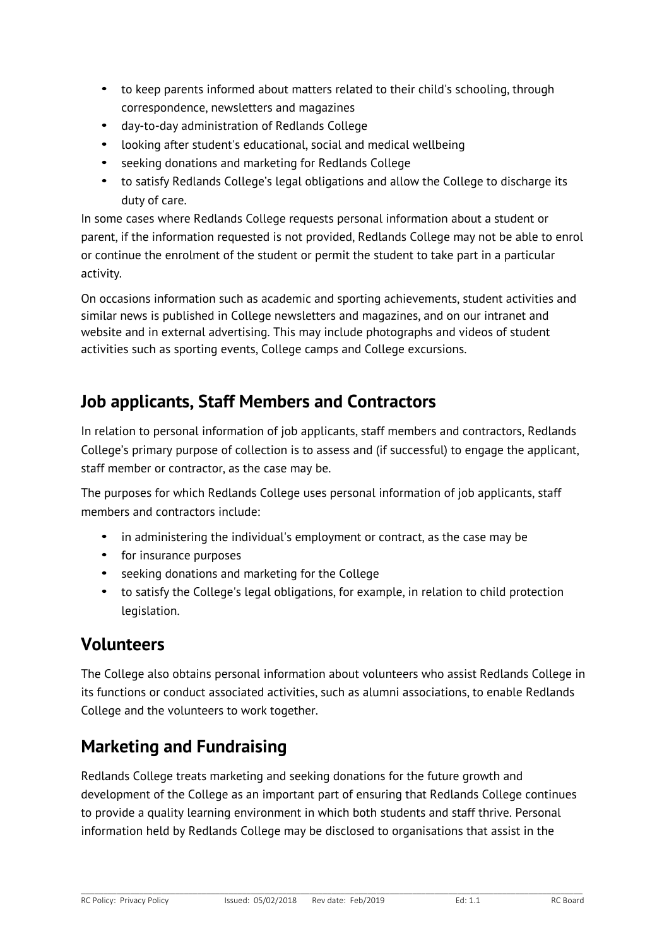- to keep parents informed about matters related to their child's schooling, through correspondence, newsletters and magazines
- day-to-day administration of Redlands College
- looking after student's educational, social and medical wellbeing
- seeking donations and marketing for Redlands College
- to satisfy Redlands College's legal obligations and allow the College to discharge its duty of care.

In some cases where Redlands College requests personal information about a student or parent, if the information requested is not provided, Redlands College may not be able to enrol or continue the enrolment of the student or permit the student to take part in a particular activity.

On occasions information such as academic and sporting achievements, student activities and similar news is published in College newsletters and magazines, and on our intranet and website and in external advertising. This may include photographs and videos of student activities such as sporting events, College camps and College excursions.

#### **Job applicants, Staff Members and Contractors**

In relation to personal information of job applicants, staff members and contractors, Redlands College's primary purpose of collection is to assess and (if successful) to engage the applicant, staff member or contractor, as the case may be.

The purposes for which Redlands College uses personal information of job applicants, staff members and contractors include:

- in administering the individual's employment or contract, as the case may be
- for insurance purposes
- seeking donations and marketing for the College
- to satisfy the College's legal obligations, for example, in relation to child protection legislation.

#### **Volunteers**

The College also obtains personal information about volunteers who assist Redlands College in its functions or conduct associated activities, such as alumni associations, to enable Redlands College and the volunteers to work together.

### **Marketing and Fundraising**

Redlands College treats marketing and seeking donations for the future growth and development of the College as an important part of ensuring that Redlands College continues to provide a quality learning environment in which both students and staff thrive. Personal information held by Redlands College may be disclosed to organisations that assist in the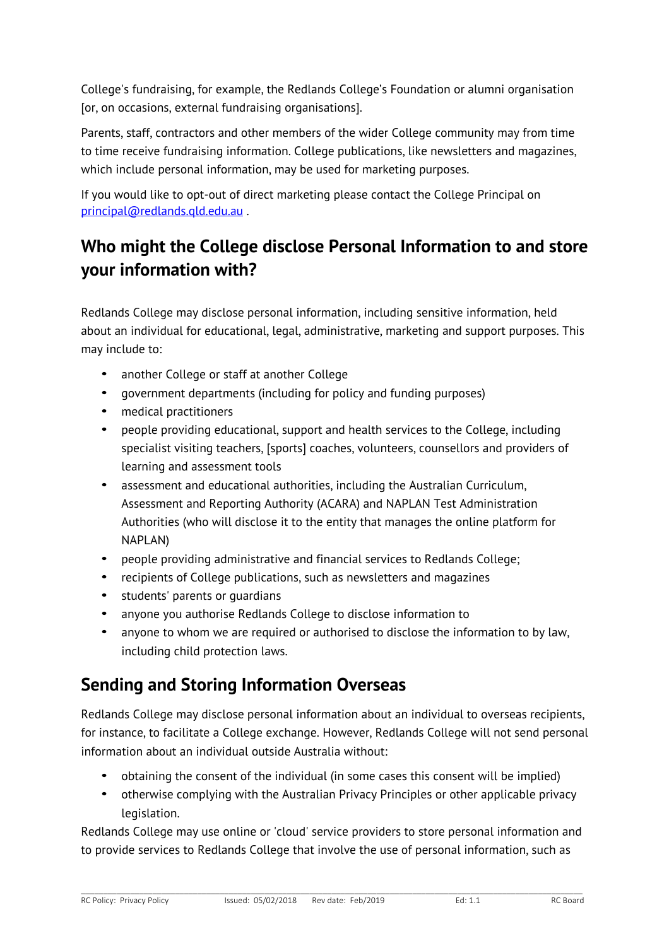College's fundraising, for example, the Redlands College's Foundation or alumni organisation [or, on occasions, external fundraising organisations].

Parents, staff, contractors and other members of the wider College community may from time to time receive fundraising information. College publications, like newsletters and magazines, which include personal information, may be used for marketing purposes.

If you would like to opt-out of direct marketing please contact the College Principal on principal@redlands.qld.edu.au .

## **Who might the College disclose Personal Information to and store your information with?**

Redlands College may disclose personal information, including sensitive information, held about an individual for educational, legal, administrative, marketing and support purposes. This may include to:

- another College or staff at another College
- government departments (including for policy and funding purposes)
- medical practitioners
- people providing educational, support and health services to the College, including specialist visiting teachers, [sports] coaches, volunteers, counsellors and providers of learning and assessment tools
- assessment and educational authorities, including the Australian Curriculum, Assessment and Reporting Authority (ACARA) and NAPLAN Test Administration Authorities (who will disclose it to the entity that manages the online platform for NAPLAN)
- people providing administrative and financial services to Redlands College;
- recipients of College publications, such as newsletters and magazines
- students' parents or guardians
- anyone you authorise Redlands College to disclose information to
- anyone to whom we are required or authorised to disclose the information to by law, including child protection laws.

### **Sending and Storing Information Overseas**

Redlands College may disclose personal information about an individual to overseas recipients, for instance, to facilitate a College exchange. However, Redlands College will not send personal information about an individual outside Australia without:

- obtaining the consent of the individual (in some cases this consent will be implied)
- otherwise complying with the Australian Privacy Principles or other applicable privacy legislation.

Redlands College may use online or 'cloud' service providers to store personal information and to provide services to Redlands College that involve the use of personal information, such as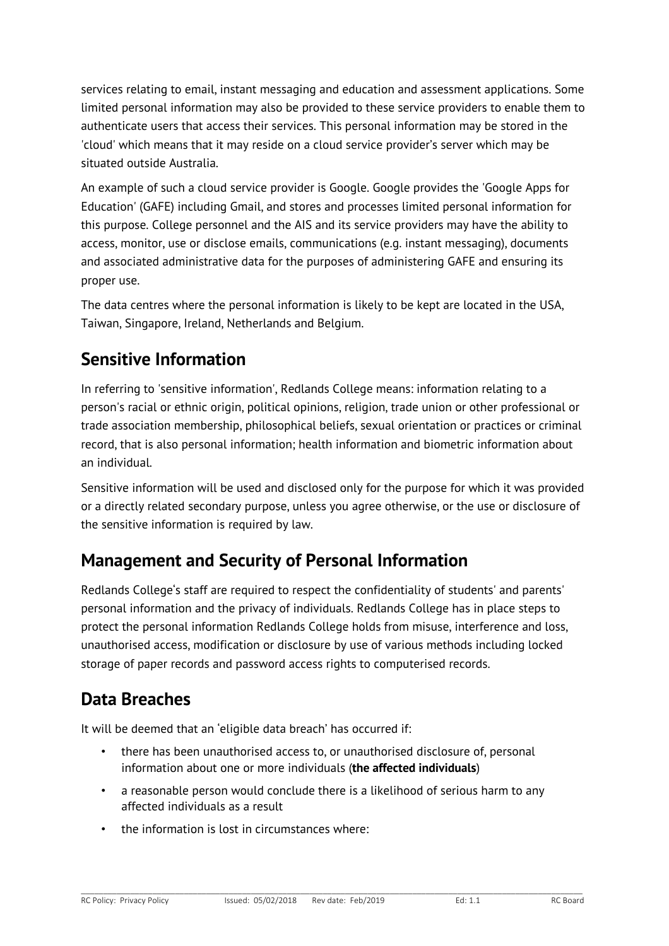services relating to email, instant messaging and education and assessment applications. Some limited personal information may also be provided to these service providers to enable them to authenticate users that access their services. This personal information may be stored in the 'cloud' which means that it may reside on a cloud service provider's server which may be situated outside Australia.

An example of such a cloud service provider is Google. Google provides the 'Google Apps for Education' (GAFE) including Gmail, and stores and processes limited personal information for this purpose. College personnel and the AIS and its service providers may have the ability to access, monitor, use or disclose emails, communications (e.g. instant messaging), documents and associated administrative data for the purposes of administering GAFE and ensuring its proper use.

The data centres where the personal information is likely to be kept are located in the USA, Taiwan, Singapore, Ireland, Netherlands and Belgium.

## **Sensitive Information**

In referring to 'sensitive information', Redlands College means: information relating to a person's racial or ethnic origin, political opinions, religion, trade union or other professional or trade association membership, philosophical beliefs, sexual orientation or practices or criminal record, that is also personal information; health information and biometric information about an individual.

Sensitive information will be used and disclosed only for the purpose for which it was provided or a directly related secondary purpose, unless you agree otherwise, or the use or disclosure of the sensitive information is required by law.

### **Management and Security of Personal Information**

Redlands College's staff are required to respect the confidentiality of students' and parents' personal information and the privacy of individuals. Redlands College has in place steps to protect the personal information Redlands College holds from misuse, interference and loss, unauthorised access, modification or disclosure by use of various methods including locked storage of paper records and password access rights to computerised records.

### **Data Breaches**

It will be deemed that an 'eligible data breach' has occurred if:

- there has been unauthorised access to, or unauthorised disclosure of, personal information about one or more individuals (**the affected individuals**)
- a reasonable person would conclude there is a likelihood of serious harm to any affected individuals as a result
- the information is lost in circumstances where: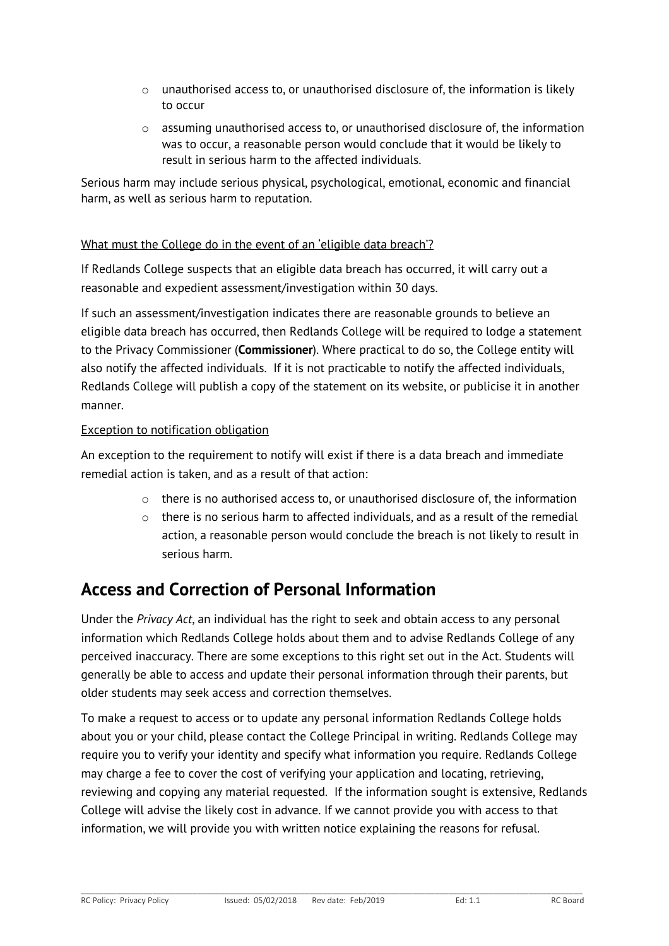- $\circ$  unauthorised access to, or unauthorised disclosure of, the information is likely to occur
- o assuming unauthorised access to, or unauthorised disclosure of, the information was to occur, a reasonable person would conclude that it would be likely to result in serious harm to the affected individuals.

Serious harm may include serious physical, psychological, emotional, economic and financial harm, as well as serious harm to reputation.

#### What must the College do in the event of an 'eligible data breach'?

If Redlands College suspects that an eligible data breach has occurred, it will carry out a reasonable and expedient assessment/investigation within 30 days.

If such an assessment/investigation indicates there are reasonable grounds to believe an eligible data breach has occurred, then Redlands College will be required to lodge a statement to the Privacy Commissioner (**Commissioner**). Where practical to do so, the College entity will also notify the affected individuals. If it is not practicable to notify the affected individuals, Redlands College will publish a copy of the statement on its website, or publicise it in another manner.

#### Exception to notification obligation

An exception to the requirement to notify will exist if there is a data breach and immediate remedial action is taken, and as a result of that action:

- $\circ$  there is no authorised access to, or unauthorised disclosure of, the information
- o there is no serious harm to affected individuals, and as a result of the remedial action, a reasonable person would conclude the breach is not likely to result in serious harm.

#### **Access and Correction of Personal Information**

Under the *Privacy Act*, an individual has the right to seek and obtain access to any personal information which Redlands College holds about them and to advise Redlands College of any perceived inaccuracy. There are some exceptions to this right set out in the Act. Students will generally be able to access and update their personal information through their parents, but older students may seek access and correction themselves.

To make a request to access or to update any personal information Redlands College holds about you or your child, please contact the College Principal in writing. Redlands College may require you to verify your identity and specify what information you require. Redlands College may charge a fee to cover the cost of verifying your application and locating, retrieving, reviewing and copying any material requested. If the information sought is extensive, Redlands College will advise the likely cost in advance. If we cannot provide you with access to that information, we will provide you with written notice explaining the reasons for refusal.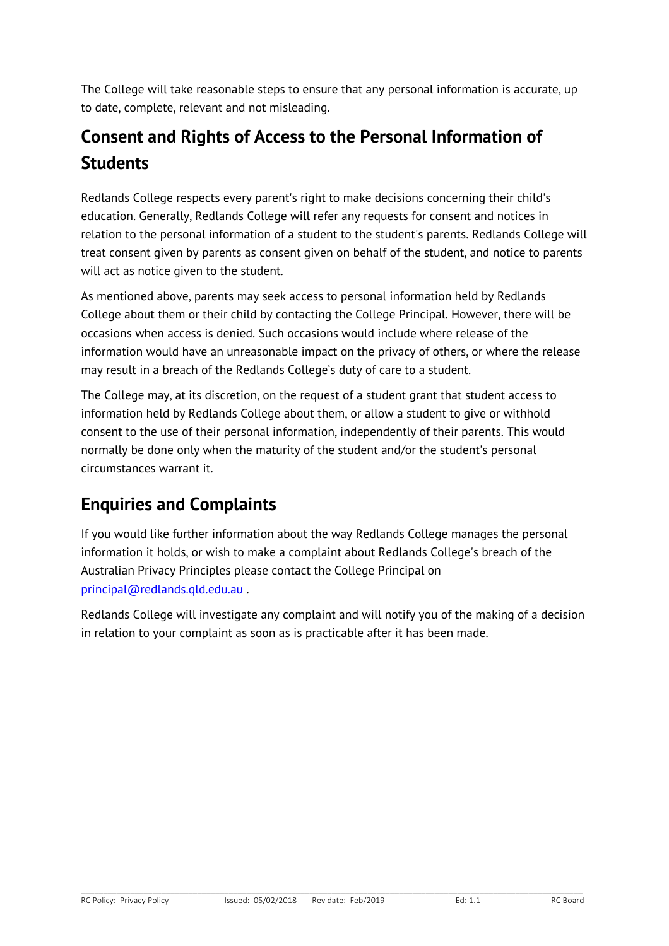The College will take reasonable steps to ensure that any personal information is accurate, up to date, complete, relevant and not misleading.

# **Consent and Rights of Access to the Personal Information of Students**

Redlands College respects every parent's right to make decisions concerning their child's education. Generally, Redlands College will refer any requests for consent and notices in relation to the personal information of a student to the student's parents. Redlands College will treat consent given by parents as consent given on behalf of the student, and notice to parents will act as notice given to the student.

As mentioned above, parents may seek access to personal information held by Redlands College about them or their child by contacting the College Principal. However, there will be occasions when access is denied. Such occasions would include where release of the information would have an unreasonable impact on the privacy of others, or where the release may result in a breach of the Redlands College's duty of care to a student.

The College may, at its discretion, on the request of a student grant that student access to information held by Redlands College about them, or allow a student to give or withhold consent to the use of their personal information, independently of their parents. This would normally be done only when the maturity of the student and/or the student's personal circumstances warrant it.

# **Enquiries and Complaints**

If you would like further information about the way Redlands College manages the personal information it holds, or wish to make a complaint about Redlands College's breach of the Australian Privacy Principles please contact the College Principal on principal@redlands.qld.edu.au .

Redlands College will investigate any complaint and will notify you of the making of a decision in relation to your complaint as soon as is practicable after it has been made.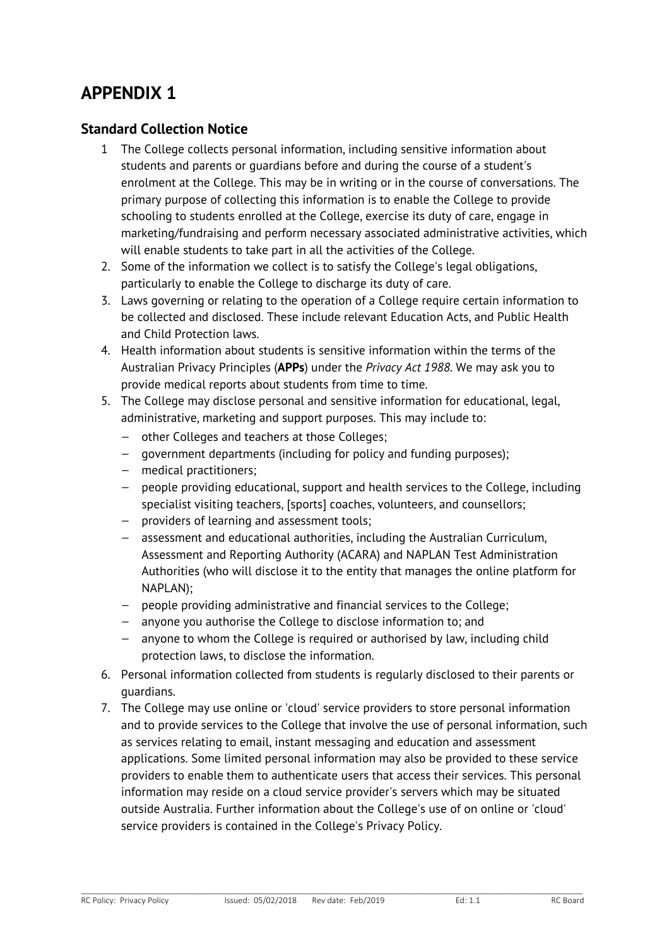#### **APPENDIX 1**

#### **Standard Collection Notice**

- 1 The College collects personal information, including sensitive information about students and parents or guardians before and during the course of a student's enrolment at the College. This may be in writing or in the course of conversations. The primary purpose of collecting this information is to enable the College to provide schooling to students enrolled at the College, exercise its duty of care, engage in marketing/fundraising and perform necessary associated administrative activities, which will enable students to take part in all the activities of the College.
- 2. Some of the information we collect is to satisfy the College's legal obligations, particularly to enable the College to discharge its duty of care.
- 3. Laws governing or relating to the operation of a College require certain information to be collected and disclosed. These include relevant Education Acts, and Public Health and Child Protection laws.
- 4. Health information about students is sensitive information within the terms of the Australian Privacy Principles (**APPs**) under the *Privacy Act 1988*. We may ask you to provide medical reports about students from time to time.
- 5. The College may disclose personal and sensitive information for educational, legal, administrative, marketing and support purposes. This may include to:
	- other Colleges and teachers at those Colleges;
	- government departments (including for policy and funding purposes);
	- medical practitioners;
	- people providing educational, support and health services to the College, including specialist visiting teachers, [sports] coaches, volunteers, and counsellors;
	- providers of learning and assessment tools;
	- assessment and educational authorities, including the Australian Curriculum, Assessment and Reporting Authority (ACARA) and NAPLAN Test Administration Authorities (who will disclose it to the entity that manages the online platform for NAPLAN);
	- people providing administrative and financial services to the College;
	- anyone you authorise the College to disclose information to; and
	- anyone to whom the College is required or authorised by law, including child protection laws, to disclose the information.
- 6. Personal information collected from students is regularly disclosed to their parents or guardians.
- 7. The College may use online or 'cloud' service providers to store personal information and to provide services to the College that involve the use of personal information, such as services relating to email, instant messaging and education and assessment applications. Some limited personal information may also be provided to these service providers to enable them to authenticate users that access their services. This personal information may reside on a cloud service provider's servers which may be situated outside Australia. Further information about the College's use of on online or 'cloud' service providers is contained in the College's Privacy Policy.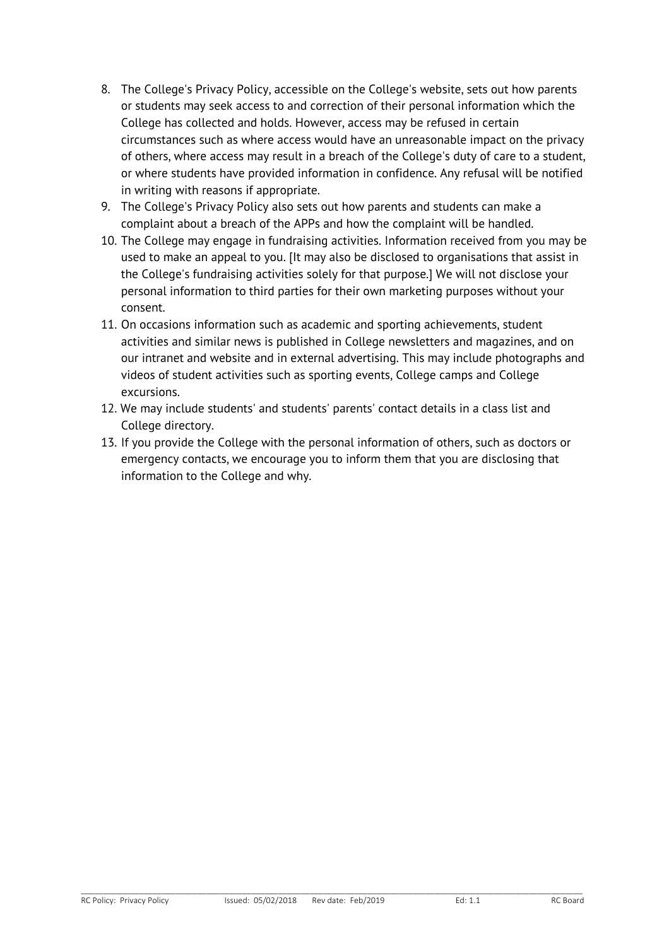- 8. The College's Privacy Policy, accessible on the College's website, sets out how parents or students may seek access to and correction of their personal information which the College has collected and holds. However, access may be refused in certain circumstances such as where access would have an unreasonable impact on the privacy of others, where access may result in a breach of the College's duty of care to a student, or where students have provided information in confidence. Any refusal will be notified in writing with reasons if appropriate.
- 9. The College's Privacy Policy also sets out how parents and students can make a complaint about a breach of the APPs and how the complaint will be handled.
- 10. The College may engage in fundraising activities. Information received from you may be used to make an appeal to you. [It may also be disclosed to organisations that assist in the College's fundraising activities solely for that purpose.] We will not disclose your personal information to third parties for their own marketing purposes without your consent.
- 11. On occasions information such as academic and sporting achievements, student activities and similar news is published in College newsletters and magazines, and on our intranet and website and in external advertising. This may include photographs and videos of student activities such as sporting events, College camps and College excursions.
- 12. We may include students' and students' parents' contact details in a class list and College directory.
- 13. If you provide the College with the personal information of others, such as doctors or emergency contacts, we encourage you to inform them that you are disclosing that information to the College and why.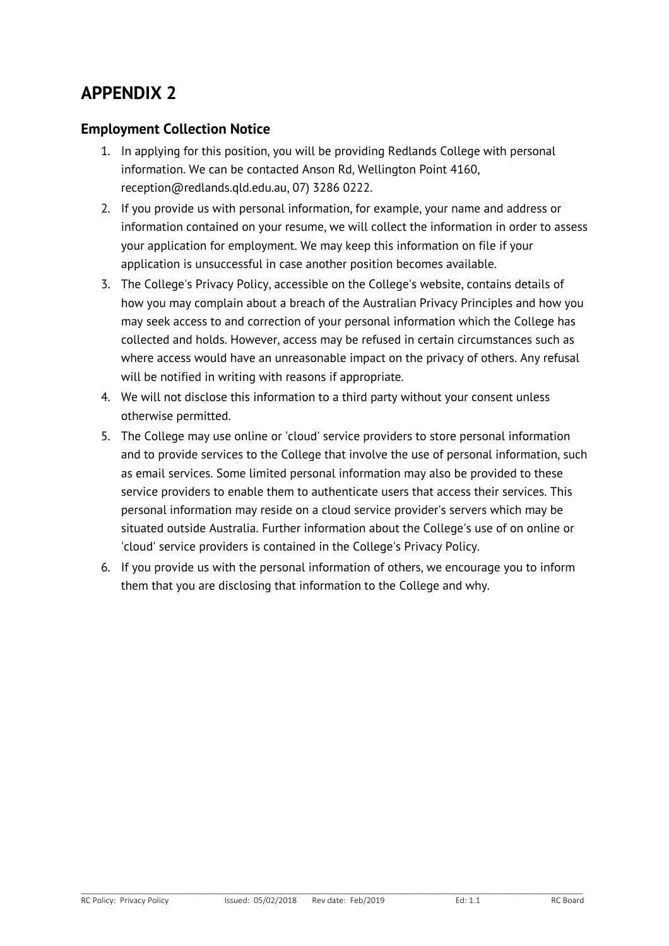### **APPENDIX 2**

#### **Employment Collection Notice**

- 1. In applying for this position, you will be providing Redlands College with personal information. We can be contacted Anson Rd, Wellington Point 4160, reception@redlands.qld.edu.au, 07) 3286 0222.
- 2. If you provide us with personal information, for example, your name and address or information contained on your resume, we will collect the information in order to assess your application for employment. We may keep this information on file if your application is unsuccessful in case another position becomes available.
- 3. The College's Privacy Policy, accessible on the College's website, contains details of how you may complain about a breach of the Australian Privacy Principles and how you may seek access to and correction of your personal information which the College has collected and holds. However, access may be refused in certain circumstances such as where access would have an unreasonable impact on the privacy of others. Any refusal will be notified in writing with reasons if appropriate.
- 4. We will not disclose this information to a third party without your consent unless otherwise permitted.
- 5. The College may use online or 'cloud' service providers to store personal information and to provide services to the College that involve the use of personal information, such as email services. Some limited personal information may also be provided to these service providers to enable them to authenticate users that access their services. This personal information may reside on a cloud service provider's servers which may be situated outside Australia. Further information about the College's use of on online or 'cloud' service providers is contained in the College's Privacy Policy.
- 6. If you provide us with the personal information of others, we encourage you to inform them that you are disclosing that information to the College and why.